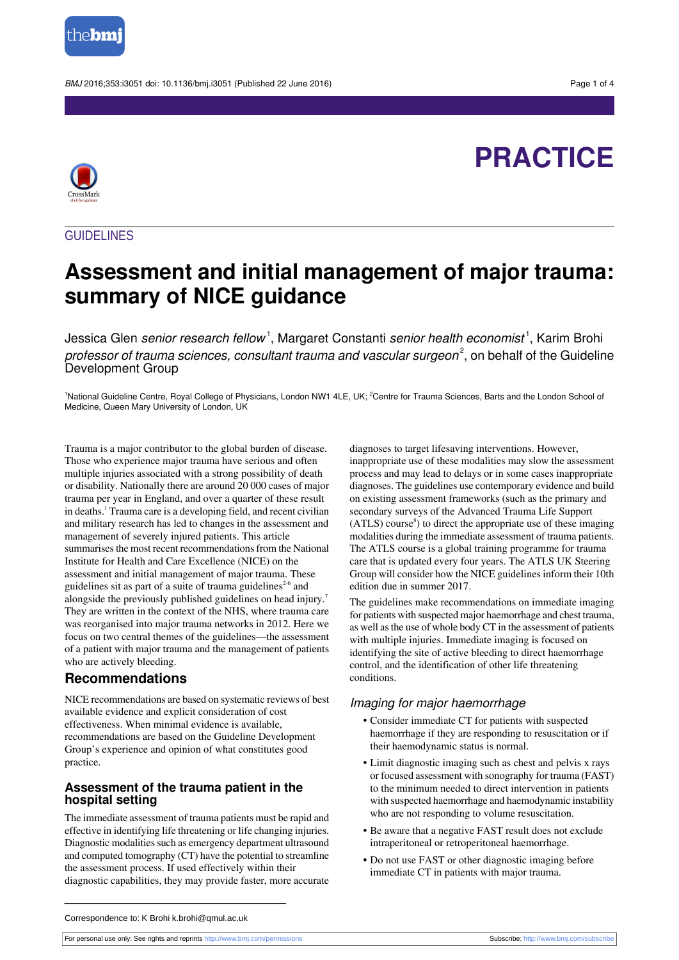

BMJ 2016:353:i3051 doi: 10.1136/bmi.i3051 (Published 22 June 2016) Page 1 of 4

# **PRACTICE**



GUIDELINES

## **Assessment and initial management of major trauma: summary of NICE guidance**

Jessica Glen *senior research fellow* <sup>1</sup>, Margaret Constanti *senior health economist* <sup>1</sup>, Karim Brohi *professor of trauma sciences, consultant trauma and vascular surgeon* $^2$ *,* on behalf of the Guideline Development Group

<sup>1</sup>National Guideline Centre, Royal College of Physicians, London NW1 4LE, UK; <sup>2</sup>Centre for Trauma Sciences, Barts and the London School of Medicine, Queen Mary University of London, UK

Trauma is a major contributor to the global burden of disease. Those who experience major trauma have serious and often multiple injuries associated with a strong possibility of death or disability. Nationally there are around 20 000 cases of major trauma per year in England, and over a quarter of these result in deaths.<sup>1</sup> Trauma care is a developing field, and recent civilian and military research has led to changes in the assessment and management of severely injured patients. This article summarises the most recent recommendations from the National Institute for Health and Care Excellence (NICE) on the assessment and initial management of major trauma. These guidelines sit as part of a suite of trauma guidelines<sup>2-6</sup> and alongside the previously published guidelines on head injury.<sup>7</sup> They are written in the context of the NHS, where trauma care was reorganised into major trauma networks in 2012. Here we focus on two central themes of the guidelines—the assessment of a patient with major trauma and the management of patients who are actively bleeding.

#### **Recommendations**

NICE recommendations are based on systematic reviews of best available evidence and explicit consideration of cost effectiveness. When minimal evidence is available, recommendations are based on the Guideline Development Group's experience and opinion of what constitutes good practice.

#### **Assessment of the trauma patient in the hospital setting**

The immediate assessment of trauma patients must be rapid and effective in identifying life threatening or life changing injuries. Diagnostic modalities such as emergency department ultrasound and computed tomography (CT) have the potential to streamline the assessment process. If used effectively within their diagnostic capabilities, they may provide faster, more accurate

diagnoses to target lifesaving interventions. However, inappropriate use of these modalities may slow the assessment process and may lead to delays or in some cases inappropriate diagnoses. The guidelines use contemporary evidence and build on existing assessment frameworks (such as the primary and secondary surveys of the Advanced Trauma Life Support (ATLS) course<sup>8</sup>) to direct the appropriate use of these imaging modalities during the immediate assessment of trauma patients. The ATLS course is a global training programme for trauma care that is updated every four years. The ATLS UK Steering Group will consider how the NICE guidelinesinform their 10th edition due in summer 2017.

The guidelines make recommendations on immediate imaging for patients with suspected major haemorrhage and chest trauma, as well asthe use of whole body CT in the assessment of patients with multiple injuries. Immediate imaging is focused on identifying the site of active bleeding to direct haemorrhage control, and the identification of other life threatening conditions.

## Imaging for major haemorrhage

- **•** Consider immediate CT for patients with suspected haemorrhage if they are responding to resuscitation or if their haemodynamic status is normal.
- **•** Limit diagnostic imaging such as chest and pelvis x rays or focused assessment with sonography for trauma (FAST) to the minimum needed to direct intervention in patients with suspected haemorrhage and haemodynamic instability who are not responding to volume resuscitation.
- **•** Be aware that a negative FAST result does not exclude intraperitoneal or retroperitoneal haemorrhage.
- **•** Do not use FAST or other diagnostic imaging before immediate CT in patients with major trauma.

For personal use only: See rights and reprints<http://www.bmj.com/permissions> Subscribe: <http://www.bmj.com/subscribe>

Correspondence to: K Brohi k.brohi@qmul.ac.uk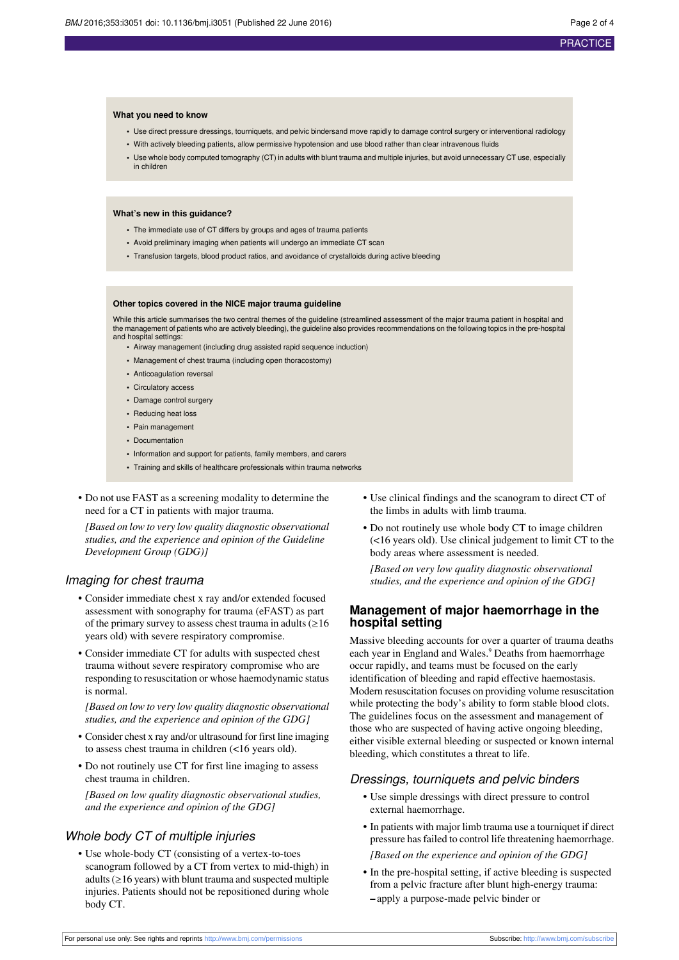#### **What you need to know**

- **•** Use direct pressure dressings, tourniquets, and pelvic bindersand move rapidly to damage control surgery or interventional radiology
- **•** With actively bleeding patients, allow permissive hypotension and use blood rather than clear intravenous fluids
- **•** Use whole body computed tomography (CT) in adults with blunt trauma and multiple injuries, but avoid unnecessary CT use, especially in children

#### **What's new in this guidance?**

- **•** The immediate use of CT differs by groups and ages of trauma patients
- **•** Avoid preliminary imaging when patients will undergo an immediate CT scan
- **•** Transfusion targets, blood product ratios, and avoidance of crystalloids during active bleeding

#### **Other topics covered in the NICE major trauma guideline**

While this article summarises the two central themes of the guideline (streamlined assessment of the major trauma patient in hospital and the management of patients who are actively bleeding), the guideline also provides recommendations on the following topics in the pre-hospital and hospital settings:

- **•** Airway management (including drug assisted rapid sequence induction)
- **•** Management of chest trauma (including open thoracostomy)
- **•** Anticoagulation reversal
- **•** Circulatory access
- **•** Damage control surgery
- **•** Reducing heat loss
- **•** Pain management
- **•** Documentation
- **•** Information and support for patients, family members, and carers
- **•** Training and skills of healthcare professionals within trauma networks
- **•** Do not use FAST as a screening modality to determine the need for a CT in patients with major trauma.

*[Based on low to very low quality diagnostic observational studies, and the experience and opinion of the Guideline Development Group (GDG)]*

#### Imaging for chest trauma

- **•** Consider immediate chest x ray and/or extended focused assessment with sonography for trauma (eFAST) as part of the primary survey to assess chest trauma in adults ( $\geq 16$ ) years old) with severe respiratory compromise.
- **•** Consider immediate CT for adults with suspected chest trauma without severe respiratory compromise who are responding to resuscitation or whose haemodynamic status is normal.

*[Based on low to very low quality diagnostic observational studies, and the experience and opinion of the GDG]*

- **•** Consider chest x ray and/or ultrasound for first line imaging to assess chest trauma in children (<16 years old).
- **•** Do not routinely use CT for first line imaging to assess chest trauma in children.

*[Based on low quality diagnostic observational studies, and the experience and opinion of the GDG]*

## Whole body CT of multiple injuries

**•** Use whole-body CT (consisting of a vertex-to-toes scanogram followed by a CT from vertex to mid-thigh) in adults ( $\geq$ 16 years) with blunt trauma and suspected multiple injuries. Patients should not be repositioned during whole body CT.

- **•** Use clinical findings and the scanogram to direct CT of the limbs in adults with limb trauma.
- **•** Do not routinely use whole body CT to image children (<16 years old). Use clinical judgement to limit CT to the body areas where assessment is needed.

*[Based on very low quality diagnostic observational studies, and the experience and opinion of the GDG]*

## **Management of major haemorrhage in the hospital setting**

Massive bleeding accounts for over a quarter of trauma deaths each year in England and Wales.<sup>9</sup> Deaths from haemorrhage occur rapidly, and teams must be focused on the early identification of bleeding and rapid effective haemostasis. Modern resuscitation focuses on providing volume resuscitation while protecting the body's ability to form stable blood clots. The guidelines focus on the assessment and management of those who are suspected of having active ongoing bleeding, either visible external bleeding or suspected or known internal bleeding, which constitutes a threat to life.

#### Dressings, tourniquets and pelvic binders

- **•** Use simple dressings with direct pressure to control external haemorrhage.
- **•** In patients with major limb trauma use a tourniquet if direct pressure has failed to control life threatening haemorrhage. *[Based on the experience and opinion of the GDG]*
- **•** In the pre-hospital setting, if active bleeding is suspected from a pelvic fracture after blunt high-energy trauma: **–** apply a purpose-made pelvic binder or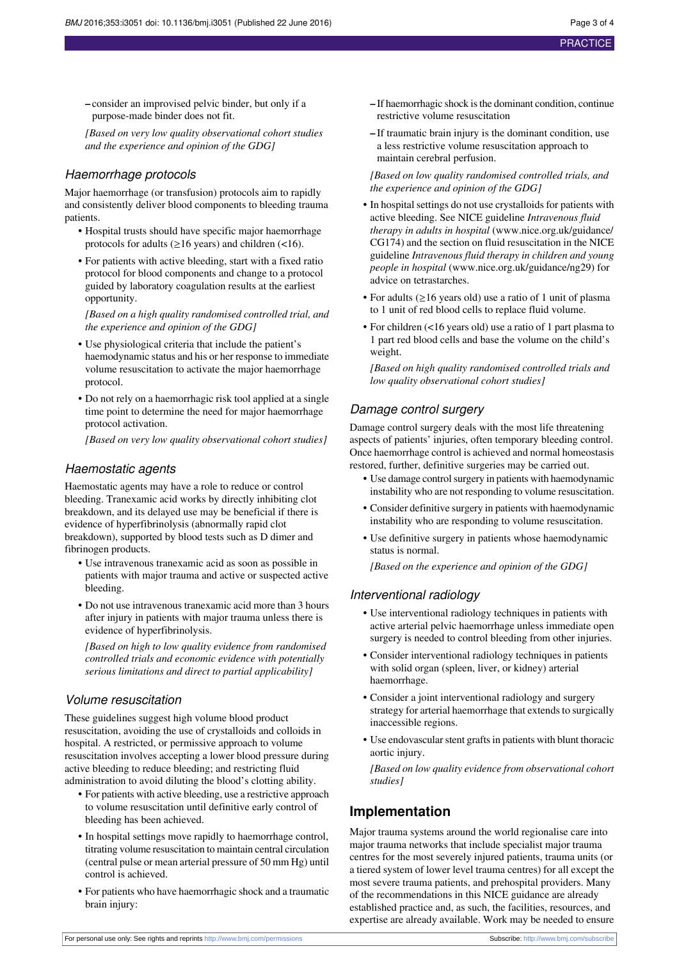**–** consider an improvised pelvic binder, but only if a purpose-made binder does not fit.

*[Based on very low quality observational cohort studies and the experience and opinion of the GDG]*

## Haemorrhage protocols

Major haemorrhage (or transfusion) protocols aim to rapidly and consistently deliver blood components to bleeding trauma patients.

- **•** Hospital trusts should have specific major haemorrhage protocols for adults ( $\geq 16$  years) and children (<16).
- **•** For patients with active bleeding, start with a fixed ratio protocol for blood components and change to a protocol guided by laboratory coagulation results at the earliest opportunity.

*[Based on a high quality randomised controlled trial, and the experience and opinion of the GDG]*

- **•** Use physiological criteria that include the patient's haemodynamic status and his or her response to immediate volume resuscitation to activate the major haemorrhage protocol.
- **•** Do not rely on a haemorrhagic risk tool applied at a single time point to determine the need for major haemorrhage protocol activation.

*[Based on very low quality observational cohort studies]*

## Haemostatic agents

Haemostatic agents may have a role to reduce or control bleeding. Tranexamic acid works by directly inhibiting clot breakdown, and its delayed use may be beneficial if there is evidence of hyperfibrinolysis (abnormally rapid clot breakdown), supported by blood tests such as D dimer and fibrinogen products.

- **•** Use intravenous tranexamic acid as soon as possible in patients with major trauma and active or suspected active bleeding.
- **•** Do not use intravenous tranexamic acid more than 3 hours after injury in patients with major trauma unless there is evidence of hyperfibrinolysis.

*[Based on high to low quality evidence from randomised controlled trials and economic evidence with potentially serious limitations and direct to partial applicability]*

## Volume resuscitation

These guidelines suggest high volume blood product resuscitation, avoiding the use of crystalloids and colloids in hospital. A restricted, or permissive approach to volume resuscitation involves accepting a lower blood pressure during active bleeding to reduce bleeding; and restricting fluid administration to avoid diluting the blood's clotting ability.

- **•** For patients with active bleeding, use a restrictive approach to volume resuscitation until definitive early control of bleeding has been achieved.
- **•** In hospital settings move rapidly to haemorrhage control, titrating volume resuscitation to maintain central circulation (central pulse or mean arterial pressure of 50 mm Hg) until control is achieved.
- **•** For patients who have haemorrhagic shock and a traumatic brain injury:
- **–** If haemorrhagic shock isthe dominant condition, continue restrictive volume resuscitation
- **–** If traumatic brain injury is the dominant condition, use a less restrictive volume resuscitation approach to maintain cerebral perfusion.

*[Based on low quality randomised controlled trials, and the experience and opinion of the GDG]*

- **•** In hospital settings do not use crystalloids for patients with active bleeding. See NICE guideline *Intravenous fluid therapy in adults in hospital* ([www.nice.org.uk/guidance/](http://www.nice.org.uk/guidance/CG174) [CG174\)](http://www.nice.org.uk/guidance/CG174) and the section on fluid resuscitation in the NICE guideline *Intravenous fluid therapy in children and young people in hospital* ([www.nice.org.uk/guidance/ng29](http://www.nice.org.uk/guidance/ng29)) for advice on tetrastarches.
- **•** For adults (≥16 years old) use a ratio of 1 unit of plasma to 1 unit of red blood cells to replace fluid volume.
- **•** For children (<16 years old) use a ratio of 1 part plasma to 1 part red blood cells and base the volume on the child's weight.

*[Based on high quality randomised controlled trials and low quality observational cohort studies]*

## Damage control surgery

Damage control surgery deals with the most life threatening aspects of patients' injuries, often temporary bleeding control. Once haemorrhage control is achieved and normal homeostasis restored, further, definitive surgeries may be carried out.

- Use damage control surgery in patients with haemodynamic instability who are not responding to volume resuscitation.
- **•** Consider definitive surgery in patients with haemodynamic instability who are responding to volume resuscitation.
- **•** Use definitive surgery in patients whose haemodynamic status is normal.

*[Based on the experience and opinion of the GDG]*

## Interventional radiology

- **•** Use interventional radiology techniques in patients with active arterial pelvic haemorrhage unless immediate open surgery is needed to control bleeding from other injuries.
- **•** Consider interventional radiology techniques in patients with solid organ (spleen, liver, or kidney) arterial haemorrhage.
- **•** Consider a joint interventional radiology and surgery strategy for arterial haemorrhage that extends to surgically inaccessible regions.
- Use endovascular stent grafts in patients with blunt thoracic aortic injury.

*[Based on low quality evidence from observational cohort studies]*

## **Implementation**

Major trauma systems around the world regionalise care into major trauma networks that include specialist major trauma centres for the most severely injured patients, trauma units (or a tiered system of lower level trauma centres) for all except the most severe trauma patients, and prehospital providers. Many of the recommendations in this NICE guidance are already established practice and, as such, the facilities, resources, and expertise are already available. Work may be needed to ensure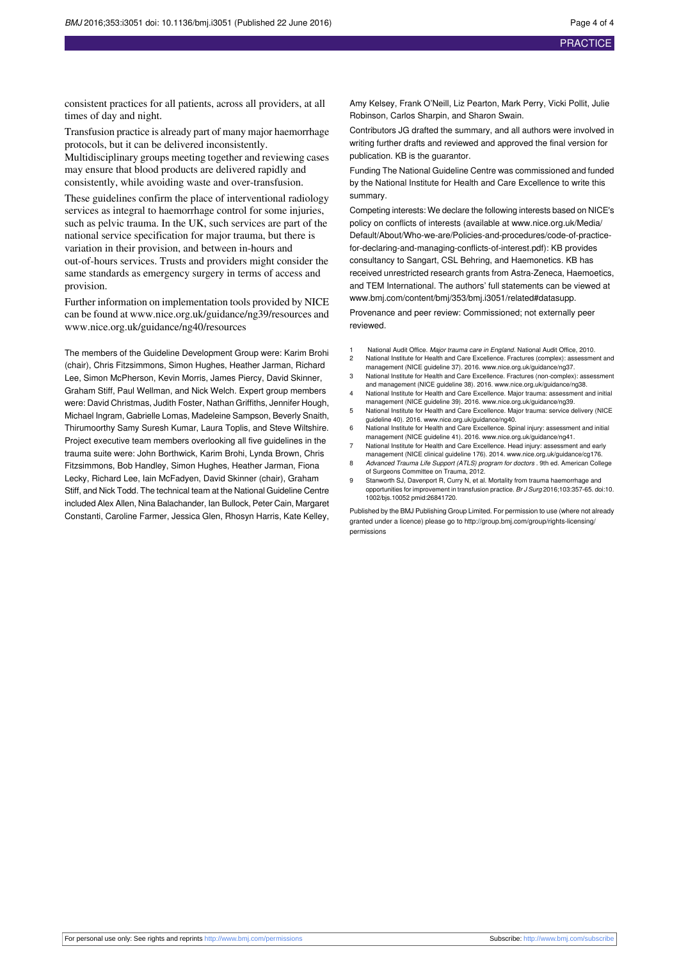consistent practices for all patients, across all providers, at all times of day and night.

Transfusion practice is already part of many major haemorrhage protocols, but it can be delivered inconsistently.

Multidisciplinary groups meeting together and reviewing cases may ensure that blood products are delivered rapidly and consistently, while avoiding waste and over-transfusion.

These guidelines confirm the place of interventional radiology services as integral to haemorrhage control for some injuries, such as pelvic trauma. In the UK, such services are part of the national service specification for major trauma, but there is variation in their provision, and between in-hours and out-of-hours services. Trusts and providers might consider the same standards as emergency surgery in terms of access and provision.

Further information on implementation tools provided by NICE can be found at www.nice.org.uk/guidance/ng39/resources and www.nice.org.uk/guidance/ng40/resources

The members of the Guideline Development Group were: Karim Brohi (chair), Chris Fitzsimmons, Simon Hughes, Heather Jarman, Richard Lee, Simon McPherson, Kevin Morris, James Piercy, David Skinner, Graham Stiff, Paul Wellman, and Nick Welch. Expert group members were: David Christmas, Judith Foster, Nathan Griffiths, Jennifer Hough, Michael Ingram, Gabrielle Lomas, Madeleine Sampson, Beverly Snaith, Thirumoorthy Samy Suresh Kumar, Laura Toplis, and Steve Wiltshire. Project executive team members overlooking all five guidelines in the trauma suite were: John Borthwick, Karim Brohi, Lynda Brown, Chris Fitzsimmons, Bob Handley, Simon Hughes, Heather Jarman, Fiona Lecky, Richard Lee, Iain McFadyen, David Skinner (chair), Graham Stiff, and Nick Todd. The technical team at the National Guideline Centre included Alex Allen, Nina Balachander, Ian Bullock, Peter Cain, Margaret Constanti, Caroline Farmer, Jessica Glen, Rhosyn Harris, Kate Kelley,

Amy Kelsey, Frank O'Neill, Liz Pearton, Mark Perry, Vicki Pollit, Julie Robinson, Carlos Sharpin, and Sharon Swain.

Contributors JG drafted the summary, and all authors were involved in writing further drafts and reviewed and approved the final version for publication. KB is the guarantor.

Funding The National Guideline Centre was commissioned and funded by the National Institute for Health and Care Excellence to write this summary.

Competing interests: We declare the following interests based on NICE's policy on conflicts of interests (available at [www.nice.org.uk/Media/](http://www.nice.org.uk/Media/Default/About/Who-we-are/Policies-and-procedures/code-of-practice-for-declaring-and-managing-conflicts-of-interest.pdf) [Default/About/Who-we-are/Policies-and-procedures/code-of-practice](http://www.nice.org.uk/Media/Default/About/Who-we-are/Policies-and-procedures/code-of-practice-for-declaring-and-managing-conflicts-of-interest.pdf)[for-declaring-and-managing-conflicts-of-interest.pdf\)](http://www.nice.org.uk/Media/Default/About/Who-we-are/Policies-and-procedures/code-of-practice-for-declaring-and-managing-conflicts-of-interest.pdf): KB provides consultancy to Sangart, CSL Behring, and Haemonetics. KB has received unrestricted research grants from Astra-Zeneca, Haemoetics, and TEM International. The authors' full statements can be viewed at [www.bmj.com/content/bmj/353/bmj.i3051/related#datasupp](http://www.bmj.com/content/bmj/353/bmj.i3051/related#datasupp).

Provenance and peer review: Commissioned; not externally peer reviewed.

- 1 National Audit Office. Major trauma care in England. National Audit Office, 2010.<br>2 National Institute for Health and Care Excellence. Fractures (complex): assessme
- National Institute for Health and Care Excellence. Fractures (complex): assessment and management (NICE guideline 37). 2016. [www.nice.org.uk/guidance/ng37.](http://www.nice.org.uk/guidance/ng37)
- 3 National Institute for Health and Care Excellence. Fractures (non-complex): assessment and management (NICE guideline 38), 2016. [www.nice.org.uk/guidance/ng38.](http://www.nice.org.uk/guidance/ng38)
- 4 National Institute for Health and Care Excellence. Major trauma: assessment and initial management (NICE guideline 39). 2016. [www.nice.org.uk/guidance/ng39.](http://www.nice.org.uk/guidance/ng39)
- 5 National Institute for Health and Care Excellence. Major trauma: service delivery (NICE guideline 40). 2016. [www.nice.org.uk/guidance/ng40.](http://www.nice.org.uk/guidance/ng40)
- 6 National Institute for Health and Care Excellence. Spinal injury: assessment and initial
- management (NICE guideline 41). 2016. [www.nice.org.uk/guidance/ng41.](http://www.nice.org.uk/guidance/ng41) 7 National Institute for Health and Care Excellence. Head injury: assessment and early management (NICE clinical guideline 176). 2014. [www.nice.org.uk/guidance/cg176](http://www.nice.org.uk/guidance/cg176)
- 8 Advanced Trauma Life Support (ATLS) program for doctors . 9th ed. American College of Surgeons Committee on Trauma, 2012.
- 9 Stanworth SJ, Davenport R, Curry N, et al. Mortality from trauma haemorrhage and opportunities for improvement in transfusion practice. Br J Surg 2016;103:357-65. [doi:10.](http://dx.doi.org/doi:10.1002/bjs.10052) [1002/bjs.10052](http://dx.doi.org/doi:10.1002/bjs.10052) [pmid:26841720.](http://www.ncbi.nlm.nih.gov/pubmed/?term=26841720)

Published by the BMJ Publishing Group Limited. For permission to use (where not already granted under a licence) please go to [http://group.bmj.com/group/rights-licensing/](http://group.bmj.com/group/rights-licensing/permissions) [permissions](http://group.bmj.com/group/rights-licensing/permissions)